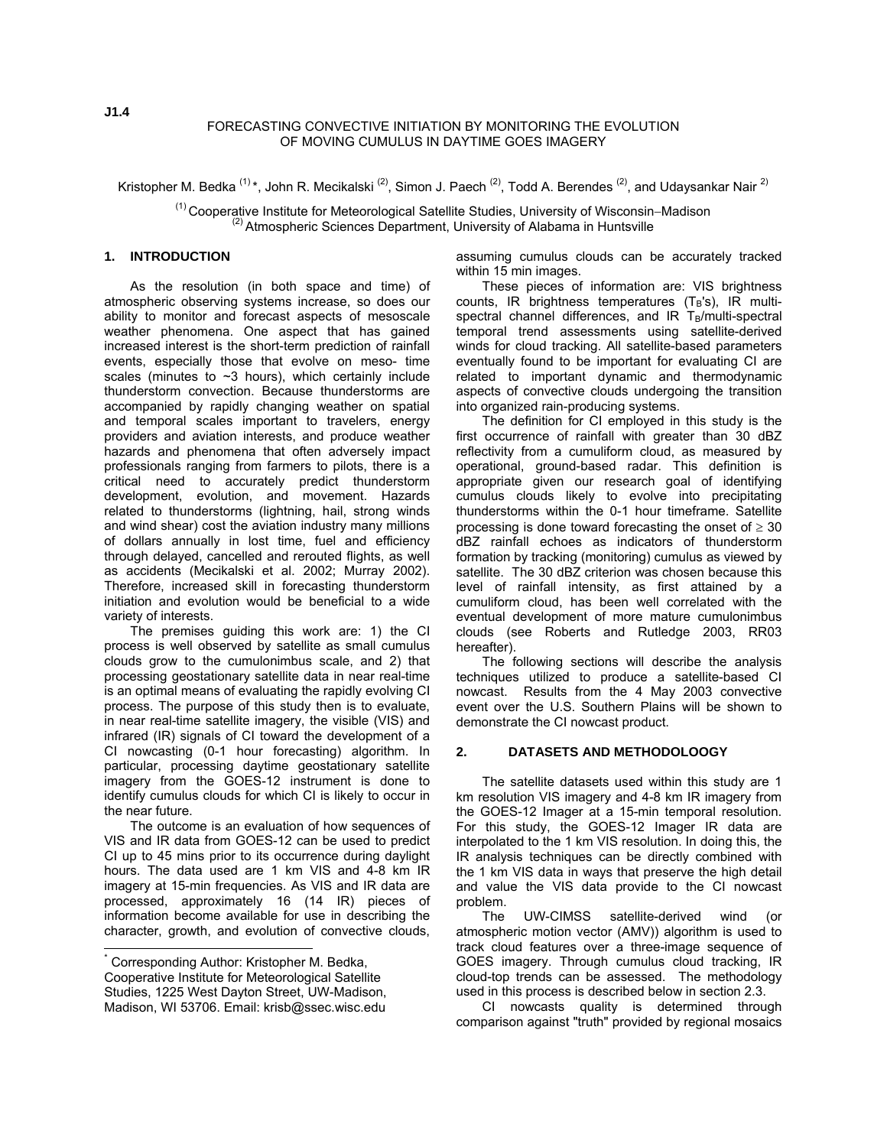#### FORECASTING CONVECTIVE INITIATION BY MONITORING THE EVOLUTION OF MOVING CUMULUS IN DAYTIME GOES IMAGERY

Kristopher M. Bedka  $(1)$ \*, John R. Mecikalski  $(2)$ , Simon J. Paech  $(2)$ , Todd A. Berendes  $(2)$ , and Udaysankar Nair  $(2)$ 

(1) Cooperative Institute for Meteorological Satellite Studies, University of Wisconsin−Madison  $<sup>(2)</sup>$  Atmospheric Sciences Department, University of Alabama in Huntsville</sup>

#### **1. INTRODUCTION**

 As the resolution (in both space and time) of atmospheric observing systems increase, so does our ability to monitor and forecast aspects of mesoscale weather phenomena. One aspect that has gained increased interest is the short-term prediction of rainfall events, especially those that evolve on meso- time scales (minutes to  $\sim$ 3 hours), which certainly include thunderstorm convection. Because thunderstorms are accompanied by rapidly changing weather on spatial and temporal scales important to travelers, energy providers and aviation interests, and produce weather hazards and phenomena that often adversely impact professionals ranging from farmers to pilots, there is a critical need to accurately predict thunderstorm development, evolution, and movement. Hazards related to thunderstorms (lightning, hail, strong winds and wind shear) cost the aviation industry many millions of dollars annually in lost time, fuel and efficiency through delayed, cancelled and rerouted flights, as well as accidents (Mecikalski et al. 2002; Murray 2002). Therefore, increased skill in forecasting thunderstorm initiation and evolution would be beneficial to a wide variety of interests.

 The premises guiding this work are: 1) the CI process is well observed by satellite as small cumulus clouds grow to the cumulonimbus scale, and 2) that processing geostationary satellite data in near real-time is an optimal means of evaluating the rapidly evolving CI process. The purpose of this study then is to evaluate, in near real-time satellite imagery, the visible (VIS) and infrared (IR) signals of CI toward the development of a CI nowcasting (0-1 hour forecasting) algorithm. In particular, processing daytime geostationary satellite imagery from the GOES-12 instrument is done to identify cumulus clouds for which CI is likely to occur in the near future.

 The outcome is an evaluation of how sequences of VIS and IR data from GOES-12 can be used to predict CI up to 45 mins prior to its occurrence during daylight hours. The data used are 1 km VIS and 4-8 km IR imagery at 15-min frequencies. As VIS and IR data are processed, approximately 16 (14 IR) pieces of information become available for use in describing the character, growth, and evolution of convective clouds,

l

assuming cumulus clouds can be accurately tracked within 15 min images.

 These pieces of information are: VIS brightness counts, IR brightness temperatures  $(T_B's)$ , IR multispectral channel differences, and IR  $T_B/m$ ulti-spectral temporal trend assessments using satellite-derived winds for cloud tracking. All satellite-based parameters eventually found to be important for evaluating CI are related to important dynamic and thermodynamic aspects of convective clouds undergoing the transition into organized rain-producing systems.

 The definition for CI employed in this study is the first occurrence of rainfall with greater than 30 dBZ reflectivity from a cumuliform cloud, as measured by operational, ground-based radar. This definition is appropriate given our research goal of identifying cumulus clouds likely to evolve into precipitating thunderstorms within the 0-1 hour timeframe. Satellite processing is done toward forecasting the onset of  $\geq 30$ dBZ rainfall echoes as indicators of thunderstorm formation by tracking (monitoring) cumulus as viewed by satellite. The 30 dBZ criterion was chosen because this level of rainfall intensity, as first attained by a cumuliform cloud, has been well correlated with the eventual development of more mature cumulonimbus clouds (see Roberts and Rutledge 2003, RR03 hereafter).

 The following sections will describe the analysis techniques utilized to produce a satellite-based CI nowcast. Results from the 4 May 2003 convective event over the U.S. Southern Plains will be shown to demonstrate the CI nowcast product.

#### **2. DATASETS AND METHODOLOOGY**

 The satellite datasets used within this study are 1 km resolution VIS imagery and 4-8 km IR imagery from the GOES-12 Imager at a 15-min temporal resolution. For this study, the GOES-12 Imager IR data are interpolated to the 1 km VIS resolution. In doing this, the IR analysis techniques can be directly combined with the 1 km VIS data in ways that preserve the high detail and value the VIS data provide to the CI nowcast problem.

The UW-CIMSS satellite-derived wind atmospheric motion vector (AMV)) algorithm is used to track cloud features over a three-image sequence of GOES imagery. Through cumulus cloud tracking, IR cloud-top trends can be assessed. The methodology used in this process is described below in section 2.3.

 CI nowcasts quality is determined through comparison against "truth" provided by regional mosaics

<span id="page-0-0"></span><sup>\*</sup> Corresponding Author: Kristopher M. Bedka, Cooperative Institute for Meteorological Satellite Studies, 1225 West Dayton Street, UW-Madison, Madison, WI 53706. Email: krisb@ssec.wisc.edu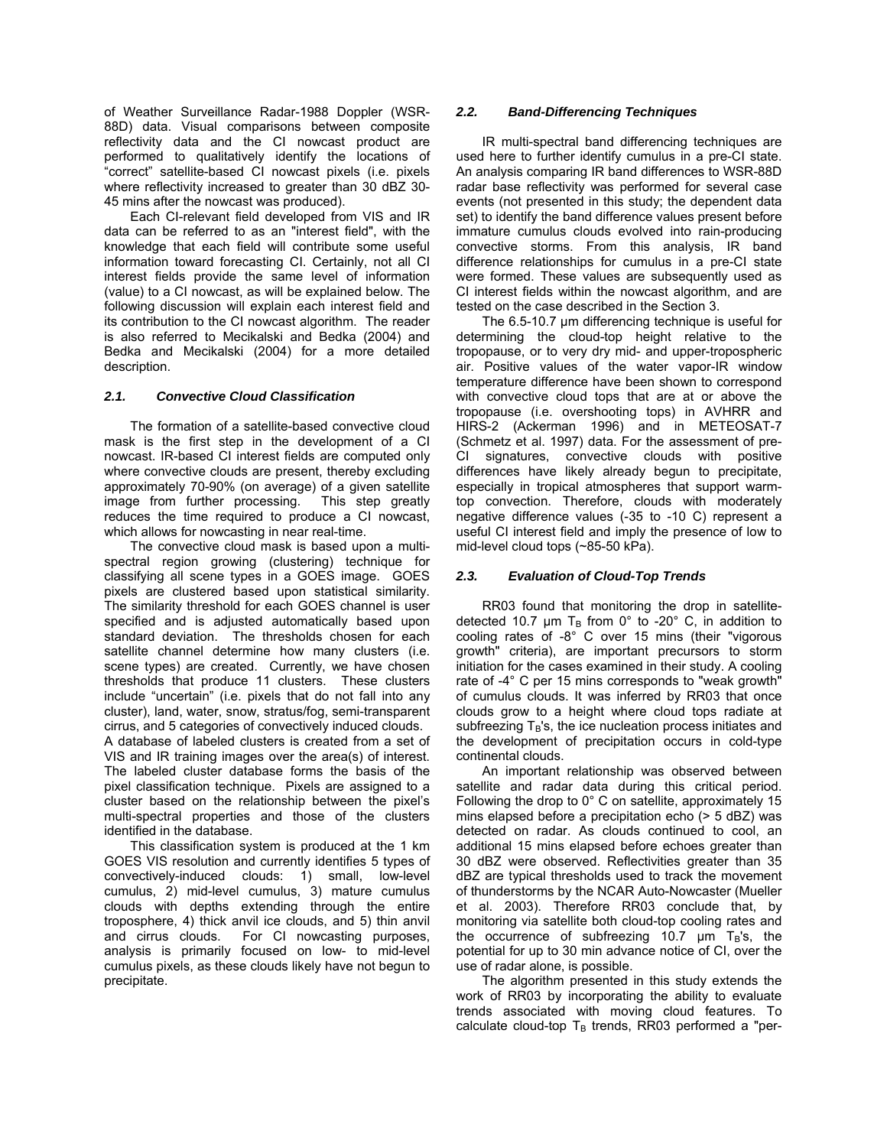of Weather Surveillance Radar-1988 Doppler (WSR-88D) data. Visual comparisons between composite reflectivity data and the CI nowcast product are performed to qualitatively identify the locations of "correct" satellite-based CI nowcast pixels (i.e. pixels where reflectivity increased to greater than 30 dBZ 30- 45 mins after the nowcast was produced).

 Each CI-relevant field developed from VIS and IR data can be referred to as an "interest field", with the knowledge that each field will contribute some useful information toward forecasting CI. Certainly, not all CI interest fields provide the same level of information (value) to a CI nowcast, as will be explained below. The following discussion will explain each interest field and its contribution to the CI nowcast algorithm. The reader is also referred to Mecikalski and Bedka (2004) and Bedka and Mecikalski (2004) for a more detailed description.

# *2.1. Convective Cloud Classification*

 The formation of a satellite-based convective cloud mask is the first step in the development of a CI nowcast. IR-based CI interest fields are computed only where convective clouds are present, thereby excluding approximately 70-90% (on average) of a given satellite image from further processing. This step greatly reduces the time required to produce a CI nowcast, which allows for nowcasting in near real-time.

 The convective cloud mask is based upon a multispectral region growing (clustering) technique for classifying all scene types in a GOES image. GOES pixels are clustered based upon statistical similarity. The similarity threshold for each GOES channel is user specified and is adjusted automatically based upon standard deviation. The thresholds chosen for each satellite channel determine how many clusters (i.e. scene types) are created. Currently, we have chosen thresholds that produce 11 clusters. These clusters include "uncertain" (i.e. pixels that do not fall into any cluster), land, water, snow, stratus/fog, semi-transparent cirrus, and 5 categories of convectively induced clouds.

A database of labeled clusters is created from a set of VIS and IR training images over the area(s) of interest. The labeled cluster database forms the basis of the pixel classification technique. Pixels are assigned to a cluster based on the relationship between the pixel's multi-spectral properties and those of the clusters identified in the database.

 This classification system is produced at the 1 km GOES VIS resolution and currently identifies 5 types of convectively-induced clouds: 1) small, low-level cumulus, 2) mid-level cumulus, 3) mature cumulus clouds with depths extending through the entire troposphere, 4) thick anvil ice clouds, and 5) thin anvil and cirrus clouds. For CI nowcasting purposes, analysis is primarily focused on low- to mid-level cumulus pixels, as these clouds likely have not begun to precipitate.

### *2.2. Band-Differencing Techniques*

 IR multi-spectral band differencing techniques are used here to further identify cumulus in a pre-CI state. An analysis comparing IR band differences to WSR-88D radar base reflectivity was performed for several case events (not presented in this study; the dependent data set) to identify the band difference values present before immature cumulus clouds evolved into rain-producing convective storms. From this analysis, IR band difference relationships for cumulus in a pre-CI state were formed. These values are subsequently used as CI interest fields within the nowcast algorithm, and are tested on the case described in the Section 3.

 The 6.5-10.7 µm differencing technique is useful for determining the cloud-top height relative to the tropopause, or to very dry mid- and upper-tropospheric air. Positive values of the water vapor-IR window temperature difference have been shown to correspond with convective cloud tops that are at or above the tropopause (i.e. overshooting tops) in AVHRR and HIRS-2 (Ackerman 1996) and in METEOSAT-7 (Schmetz et al. 1997) data. For the assessment of pre-CI signatures, convective clouds with positive differences have likely already begun to precipitate, especially in tropical atmospheres that support warmtop convection. Therefore, clouds with moderately negative difference values (-35 to -10 C) represent a useful CI interest field and imply the presence of low to mid-level cloud tops (~85-50 kPa).

# *2.3. Evaluation of Cloud-Top Trends*

 RR03 found that monitoring the drop in satellitedetected 10.7  $\mu$ m T<sub>B</sub> from 0° to -20° C, in addition to cooling rates of -8° C over 15 mins (their "vigorous growth" criteria), are important precursors to storm initiation for the cases examined in their study. A cooling rate of -4° C per 15 mins corresponds to "weak growth" of cumulus clouds. It was inferred by RR03 that once clouds grow to a height where cloud tops radiate at subfreezing  $T_B$ 's, the ice nucleation process initiates and the development of precipitation occurs in cold-type continental clouds.

 An important relationship was observed between satellite and radar data during this critical period. Following the drop to 0° C on satellite, approximately 15 mins elapsed before a precipitation echo (> 5 dBZ) was detected on radar. As clouds continued to cool, an additional 15 mins elapsed before echoes greater than 30 dBZ were observed. Reflectivities greater than 35 dBZ are typical thresholds used to track the movement of thunderstorms by the NCAR Auto-Nowcaster (Mueller et al. 2003). Therefore RR03 conclude that, by monitoring via satellite both cloud-top cooling rates and the occurrence of subfreezing 10.7  $\mu$ m T<sub>B</sub>'s, the potential for up to 30 min advance notice of CI, over the use of radar alone, is possible.

 The algorithm presented in this study extends the work of RR03 by incorporating the ability to evaluate trends associated with moving cloud features. To calculate cloud-top  $T_B$  trends, RR03 performed a "per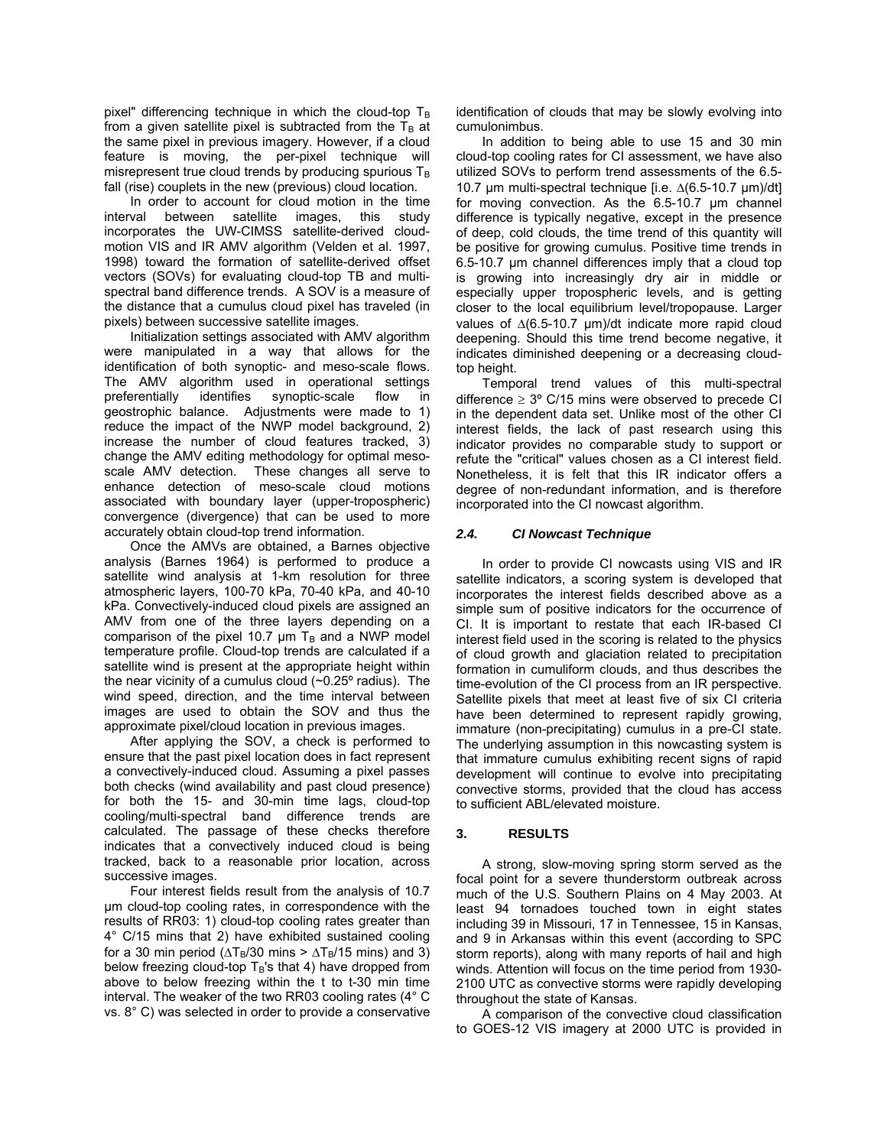pixel" differencing technique in which the cloud-top  $T_B$ from a given satellite pixel is subtracted from the  $T<sub>B</sub>$  at the same pixel in previous imagery. However, if a cloud feature is moving, the per-pixel technique will misrepresent true cloud trends by producing spurious  $T_B$ fall (rise) couplets in the new (previous) cloud location.

 In order to account for cloud motion in the time interval between satellite images, this study incorporates the UW-CIMSS satellite-derived cloudmotion VIS and IR AMV algorithm (Velden et al. 1997, 1998) toward the formation of satellite-derived offset vectors (SOVs) for evaluating cloud-top TB and multispectral band difference trends. A SOV is a measure of the distance that a cumulus cloud pixel has traveled (in pixels) between successive satellite images.

 Initialization settings associated with AMV algorithm were manipulated in a way that allows for the identification of both synoptic- and meso-scale flows. The AMV algorithm used in operational settings preferentially identifies synoptic-scale flow in geostrophic balance. Adjustments were made to 1) reduce the impact of the NWP model background, 2) increase the number of cloud features tracked, 3) change the AMV editing methodology for optimal mesoscale AMV detection. These changes all serve to enhance detection of meso-scale cloud motions associated with boundary layer (upper-tropospheric) convergence (divergence) that can be used to more accurately obtain cloud-top trend information.

 Once the AMVs are obtained, a Barnes objective analysis (Barnes 1964) is performed to produce a satellite wind analysis at 1-km resolution for three atmospheric layers, 100-70 kPa, 70-40 kPa, and 40-10 kPa. Convectively-induced cloud pixels are assigned an AMV from one of the three layers depending on a comparison of the pixel 10.7  $\mu$ m  $T_B$  and a NWP model temperature profile. Cloud-top trends are calculated if a satellite wind is present at the appropriate height within the near vicinity of a cumulus cloud  $(\sim 0.25^{\circ}$  radius). The wind speed, direction, and the time interval between images are used to obtain the SOV and thus the approximate pixel/cloud location in previous images.

 After applying the SOV, a check is performed to ensure that the past pixel location does in fact represent a convectively-induced cloud. Assuming a pixel passes both checks (wind availability and past cloud presence) for both the 15- and 30-min time lags, cloud-top cooling/multi-spectral band difference trends are calculated. The passage of these checks therefore indicates that a convectively induced cloud is being tracked, back to a reasonable prior location, across successive images.

 Four interest fields result from the analysis of 10.7 µm cloud-top cooling rates, in correspondence with the results of RR03: 1) cloud-top cooling rates greater than 4° C/15 mins that 2) have exhibited sustained cooling for a 30 min period ( $\Delta T_B/30$  mins >  $\Delta T_B/15$  mins) and 3) below freezing cloud-top  $T_B$ 's that 4) have dropped from above to below freezing within the t to t-30 min time interval. The weaker of the two RR03 cooling rates (4° C vs. 8° C) was selected in order to provide a conservative identification of clouds that may be slowly evolving into cumulonimbus.

 In addition to being able to use 15 and 30 min cloud-top cooling rates for CI assessment, we have also utilized SOVs to perform trend assessments of the 6.5- 10.7 µm multi-spectral technique [i.e. ∆(6.5-10.7 µm)/dt] for moving convection. As the 6.5-10.7 µm channel difference is typically negative, except in the presence of deep, cold clouds, the time trend of this quantity will be positive for growing cumulus. Positive time trends in 6.5-10.7 µm channel differences imply that a cloud top is growing into increasingly dry air in middle or especially upper tropospheric levels, and is getting closer to the local equilibrium level/tropopause. Larger values of ∆(6.5-10.7 µm)/dt indicate more rapid cloud deepening. Should this time trend become negative, it indicates diminished deepening or a decreasing cloudtop height.

 Temporal trend values of this multi-spectral difference  $\geq 3^{\circ}$  C/15 mins were observed to precede CI in the dependent data set. Unlike most of the other CI interest fields, the lack of past research using this indicator provides no comparable study to support or refute the "critical" values chosen as a CI interest field. Nonetheless, it is felt that this IR indicator offers a degree of non-redundant information, and is therefore incorporated into the CI nowcast algorithm.

# *2.4. CI Nowcast Technique*

 In order to provide CI nowcasts using VIS and IR satellite indicators, a scoring system is developed that incorporates the interest fields described above as a simple sum of positive indicators for the occurrence of CI. It is important to restate that each IR-based CI interest field used in the scoring is related to the physics of cloud growth and glaciation related to precipitation formation in cumuliform clouds, and thus describes the time-evolution of the CI process from an IR perspective. Satellite pixels that meet at least five of six CI criteria have been determined to represent rapidly growing, immature (non-precipitating) cumulus in a pre-CI state. The underlying assumption in this nowcasting system is that immature cumulus exhibiting recent signs of rapid development will continue to evolve into precipitating convective storms, provided that the cloud has access to sufficient ABL/elevated moisture.

# **3. RESULTS**

 A strong, slow-moving spring storm served as the focal point for a severe thunderstorm outbreak across much of the U.S. Southern Plains on 4 May 2003. At least 94 tornadoes touched town in eight states including 39 in Missouri, 17 in Tennessee, 15 in Kansas, and 9 in Arkansas within this event (according to SPC storm reports), along with many reports of hail and high winds. Attention will focus on the time period from 1930- 2100 UTC as convective storms were rapidly developing throughout the state of Kansas.

 A comparison of the convective cloud classification to GOES-12 VIS imagery at 2000 UTC is provided in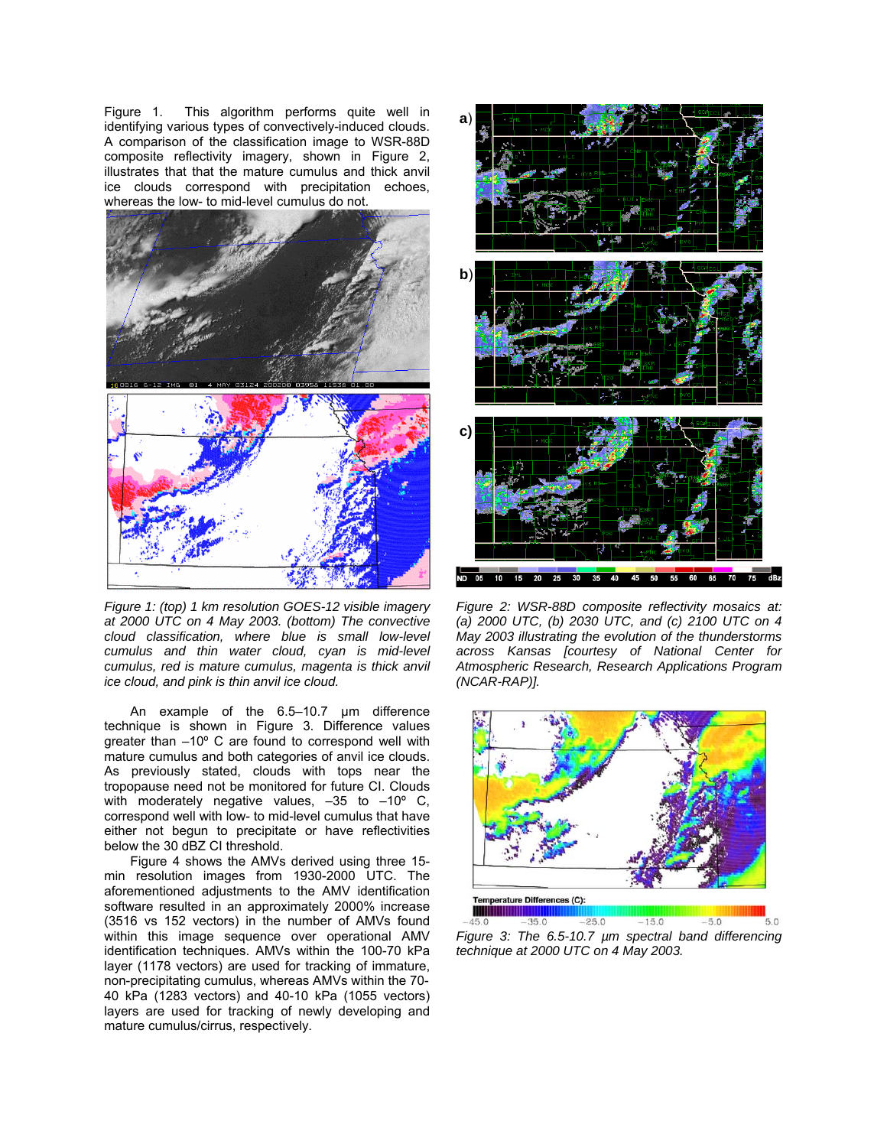Figure 1. This algorithm performs quite well in identifying various types of convectively-induced clouds. A comparison of the classification image to WSR-88D composite reflectivity imagery, shown in Figure 2, illustrates that that the mature cumulus and thick anvil ice clouds correspond with precipitation echoes, whereas the low- to mid-level cumulus do not.



*Figure 1: (top) 1 km resolution GOES-12 visible imagery at 2000 UTC on 4 May 2003. (bottom) The convective cloud classification, where blue is small low-level cumulus and thin water cloud, cyan is mid-level cumulus, red is mature cumulus, magenta is thick anvil ice cloud, and pink is thin anvil ice cloud.* 

An example of the 6.5–10.7 µm difference technique is shown in Figure 3. Difference values greater than –10º C are found to correspond well with mature cumulus and both categories of anvil ice clouds. As previously stated, clouds with tops near the tropopause need not be monitored for future CI. Clouds with moderately negative values, -35 to -10° C, correspond well with low- to mid-level cumulus that have either not begun to precipitate or have reflectivities below the 30 dBZ CI threshold.

Figure 4 shows the AMVs derived using three 15 min resolution images from 1930-2000 UTC. The aforementioned adjustments to the AMV identification software resulted in an approximately 2000% increase (3516 vs 152 vectors) in the number of AMVs found within this image sequence over operational AMV identification techniques. AMVs within the 100-70 kPa layer (1178 vectors) are used for tracking of immature, non-precipitating cumulus, whereas AMVs within the 70- 40 kPa (1283 vectors) and 40-10 kPa (1055 vectors) layers are used for tracking of newly developing and mature cumulus/cirrus, respectively.



*Figure 2: WSR-88D composite reflectivity mosaics at: (a) 2000 UTC, (b) 2030 UTC, and (c) 2100 UTC on 4 May 2003 illustrating the evolution of the thunderstorms across Kansas [courtesy of National Center for Atmospheric Research, Research Applications Program (NCAR-RAP)].*



*Figure 3: The 6.5-10.7 µm spectral band differencing technique at 2000 UTC on 4 May 2003.*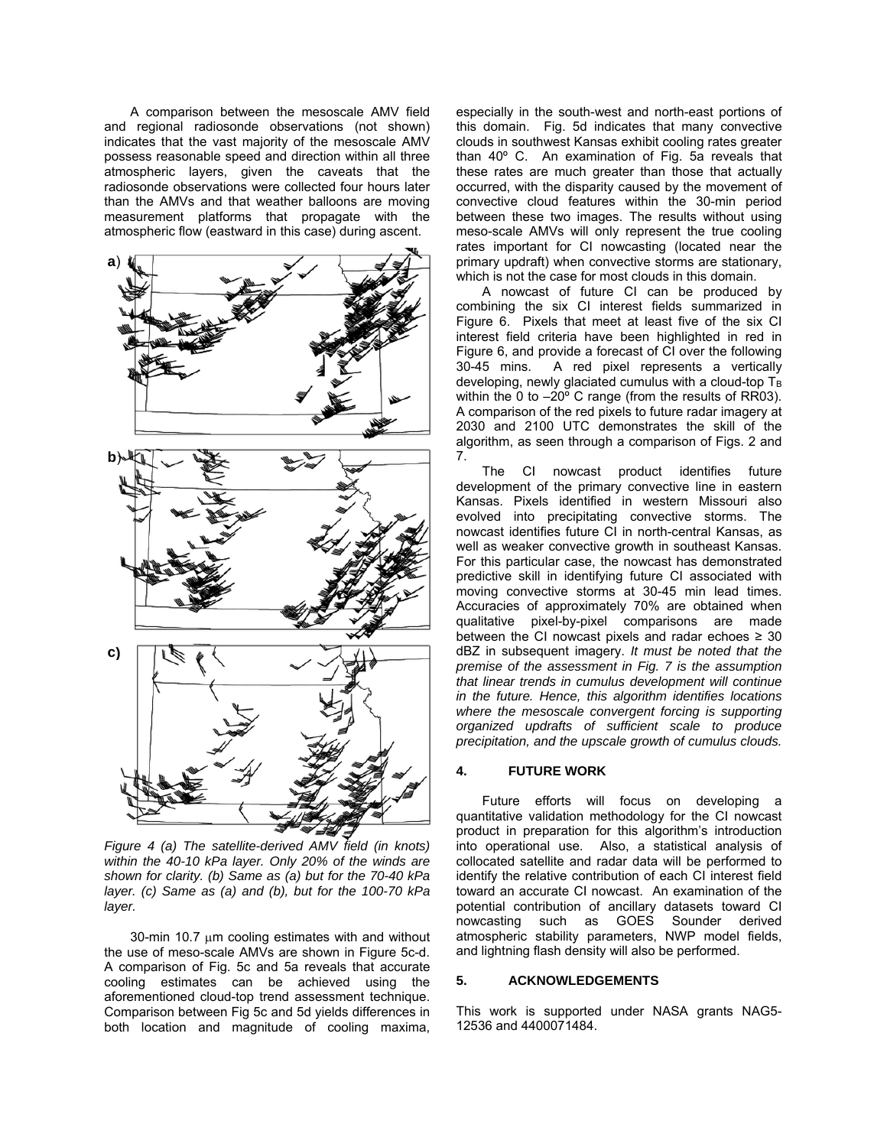A comparison between the mesoscale AMV field and regional radiosonde observations (not shown) indicates that the vast majority of the mesoscale AMV possess reasonable speed and direction within all three atmospheric layers, given the caveats that the radiosonde observations were collected four hours later than the AMVs and that weather balloons are moving measurement platforms that propagate with the atmospheric flow (eastward in this case) during ascent.



*Figure 4 (a) The satellite-derived AMV field (in knots) within the 40-10 kPa layer. Only 20% of the winds are shown for clarity. (b) Same as (a) but for the 70-40 kPa layer. (c) Same as (a) and (b), but for the 100-70 kPa layer.* 

 $30$ -min 10.7  $\mu$ m cooling estimates with and without the use of meso-scale AMVs are shown in Figure 5c-d. A comparison of Fig. 5c and 5a reveals that accurate cooling estimates can be achieved using the aforementioned cloud-top trend assessment technique. Comparison between Fig 5c and 5d yields differences in both location and magnitude of cooling maxima, especially in the south-west and north-east portions of this domain. Fig. 5d indicates that many convective clouds in southwest Kansas exhibit cooling rates greater than 40º C. An examination of Fig. 5a reveals that these rates are much greater than those that actually occurred, with the disparity caused by the movement of convective cloud features within the 30-min period between these two images. The results without using meso-scale AMVs will only represent the true cooling rates important for CI nowcasting (located near the primary updraft) when convective storms are stationary, which is not the case for most clouds in this domain.

A nowcast of future CI can be produced by combining the six CI interest fields summarized in Figure 6. Pixels that meet at least five of the six CI interest field criteria have been highlighted in red in Figure 6, and provide a forecast of CI over the following 30-45 mins. A red pixel represents a vertically developing, newly glaciated cumulus with a cloud-top  $T_B$ within the 0 to  $-20^{\circ}$  C range (from the results of RR03). A comparison of the red pixels to future radar imagery at 2030 and 2100 UTC demonstrates the skill of the algorithm, as seen through a comparison of Figs. 2 and 7.

The CI nowcast product identifies future development of the primary convective line in eastern Kansas. Pixels identified in western Missouri also evolved into precipitating convective storms. The nowcast identifies future CI in north-central Kansas, as well as weaker convective growth in southeast Kansas. For this particular case, the nowcast has demonstrated predictive skill in identifying future CI associated with moving convective storms at 30-45 min lead times. Accuracies of approximately 70% are obtained when qualitative pixel-by-pixel comparisons are made between the CI nowcast pixels and radar echoes  $\geq 30$ dBZ in subsequent imagery. *It must be noted that the premise of the assessment in Fig. 7 is the assumption that linear trends in cumulus development will continue in the future. Hence, this algorithm identifies locations where the mesoscale convergent forcing is supporting organized updrafts of sufficient scale to produce precipitation, and the upscale growth of cumulus clouds.*

#### **4. FUTURE WORK**

Future efforts will focus on developing a quantitative validation methodology for the CI nowcast product in preparation for this algorithm's introduction into operational use. Also, a statistical analysis of collocated satellite and radar data will be performed to identify the relative contribution of each CI interest field toward an accurate CI nowcast. An examination of the potential contribution of ancillary datasets toward CI nowcasting such as GOES Sounder derived atmospheric stability parameters, NWP model fields, and lightning flash density will also be performed.

### **5. ACKNOWLEDGEMENTS**

This work is supported under NASA grants NAG5- 12536 and 4400071484.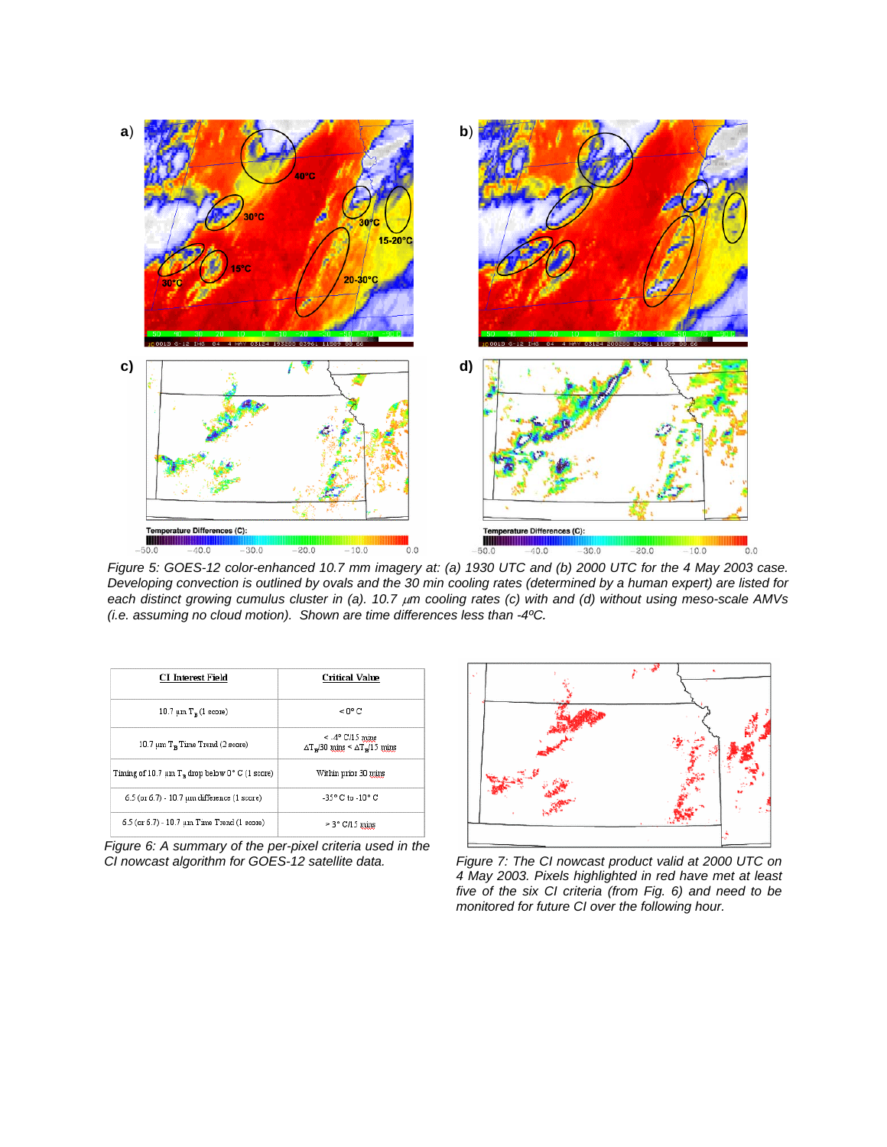

*Figure 5: GOES-12 color-enhanced 10.7 mm imagery at: (a) 1930 UTC and (b) 2000 UTC for the 4 May 2003 case. Developing convection is outlined by ovals and the 30 min cooling rates (determined by a human expert) are listed for each distinct growing cumulus cluster in (a). 10.7*  $\mu$ *m cooling rates (c) with and (d) without using meso-scale AMVs (i.e. assuming no cloud motion). Shown are time differences less than -4ºC.* 

| <b>CI</b> Interest Field                                        | Critical Value                                                                                       |
|-----------------------------------------------------------------|------------------------------------------------------------------------------------------------------|
| 10.7 $\mu$ m T <sub>n</sub> (1 score)                           | $< 0$ °C                                                                                             |
| 10.7 $\mu$ m T <sub>n</sub> Time Trend (2 score)                | $\leq$ -4 $\degree$ C/15 mins<br>$\Delta T$ <sub>x</sub> /30 mins < $\Delta T$ <sub>x</sub> /15 mins |
| Timing of 10.7 $\mu$ m T <sub>n</sub> drop below 0° C (1 score) | Within prior 30 mins                                                                                 |
| 6.5 (or 6.7) - 10.7 µm difference (1 score)                     | $-35^{\circ}$ C to $-10^{\circ}$ C                                                                   |
| 6.5 (or 6.7) - 10.7 um Time Trend (1 score)                     | $>$ 3 $\degree$ C/15 mins                                                                            |

*Figure 6: A summary of the per-pixel criteria used in the CI nowcast algorithm for GOES-12 satellite data.* 



*Figure 7: The CI nowcast product valid at 2000 UTC on 4 May 2003. Pixels highlighted in red have met at least five of the six CI criteria (from Fig. 6) and need to be monitored for future CI over the following hour.*